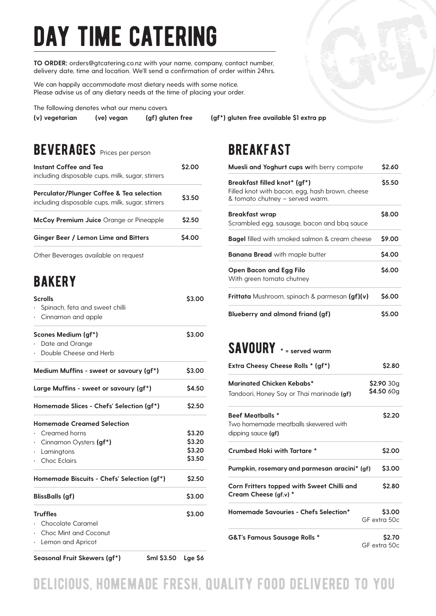# day time catering

**TO ORDER:** orders@gtcatering.co.nz with your name, company, contact number, delivery date, time and location. We'll send a confirmation of order within 24hrs.

We can happily accommodate most dietary needs with some notice. Please advise us of any dietary needs at the time of placing your order.

The following denotes what our menu covers

**(v) vegetarian (ve) vegan (gf) gluten free (gf\*) gluten free available \$1 extra pp**

## **BEVERAGES** Prices per person

| Instant Coffee and Tea<br>including disposable cups, milk, sugar, stirrers                               | S2 OO        |
|----------------------------------------------------------------------------------------------------------|--------------|
| <b>Perculator/Plunger Coffee &amp; Tea selection</b><br>including disposable cups, milk, sugar, stirrers | \$3.50       |
| <b>McCoy Premium Juice</b> Orange or Pineapple                                                           | \$2.50       |
| Ginger Beer / Lemon Lime and Bitters                                                                     | <b>S4.00</b> |
|                                                                                                          |              |

Other Beverages available on request

# **BAKERY**

| Sml \$3.50<br>Seasonal Fruit Skewers (gf*)                          | Lge \$6 |
|---------------------------------------------------------------------|---------|
| · Chocolate Caramel<br>Choc Mint and Coconut<br>· Lemon and Apricot |         |
| <b>Truffles</b>                                                     | \$3.00  |
| <b>BlissBalls (gf)</b>                                              | \$3.00  |
| Homemade Biscuits - Chefs' Selection (gf*)                          | \$2.50  |
| · Choc Eclairs                                                      | \$3.50  |
| Lamingtons<br>$\bullet$                                             | \$3.20  |
| Cinnamon Oysters <b>(gf*)</b>                                       | \$3.20  |
| <b>Homemade Creamed Selection</b><br>· Creamed horns                | \$3.20  |
| Homemade Slices - Chefs' Selection (gf*)                            | \$2.50  |
|                                                                     |         |
| Large Muffins - sweet or savoury (gf*)                              | \$4.50  |
| Medium Muffins - sweet or savoury (gf*)                             | \$3.00  |
| · Double Cheese and Herb                                            |         |
| Scones Medium (gf*)<br>Date and Orange                              | \$3.00  |
|                                                                     |         |
| Spinach, feta and sweet chilli<br>$\cdot$ Cinnamon and apple        |         |
| <b>Scrolls</b>                                                      | \$3.00  |

### **BREAKFAST**

| <b>Muesli and Yoghurt cups with berry compote</b>                                                                  |        |
|--------------------------------------------------------------------------------------------------------------------|--------|
| Breakfast filled knot* (gf*)<br>Filled knot with bacon, egg, hash brown, cheese<br>& tomato chutney - served warm. | \$5.50 |
| Breakfast wrap<br>Scrambled egg, sausage, bacon and bbg sauce                                                      | \$8.00 |
| Bagel filled with smoked salmon & cream cheese                                                                     | \$9.00 |
| <b>Banana Bread</b> with maple butter                                                                              | \$4.00 |
| Open Bacon and Egg Filo<br>With green tomato chutney                                                               | \$6.00 |
| <b>Frittata</b> Mushroom, spinach & parmesan (gf)(v)                                                               | \$6.00 |
| <b>Blueberry and almond friand (gf)</b>                                                                            | \$5.00 |

#### savoury **\* = served warm**

| Extra Cheesy Cheese Rolls * (gf*)                                                     | \$2.80                   |
|---------------------------------------------------------------------------------------|--------------------------|
| Marinated Chicken Kebabs*<br>Tandoori, Honey Soy or Thai marinade (gf)                | \$2.90 30g<br>\$4.50 60g |
| <b>Beef Meatballs *</b><br>Two homemade meatballs skewered with<br>dipping sauce (gf) | \$2.20                   |
| <b>Crumbed Hoki with Tartare *</b>                                                    | \$2.00                   |
| Pumpkin, rosemary and parmesan aracini* (gf)                                          | \$3.00                   |
| Corn Fritters topped with Sweet Chilli and<br>Cream Cheese (gf,v) *                   | \$2.80                   |
| Homemade Savouries - Chefs Selection*                                                 | \$3.00<br>GF extra 50c   |
| <b>G&amp;T's Famous Sausage Rolls *</b>                                               | \$2.70<br>GF extra 50c   |

delicious, homemade fresh, quality food delivered to you